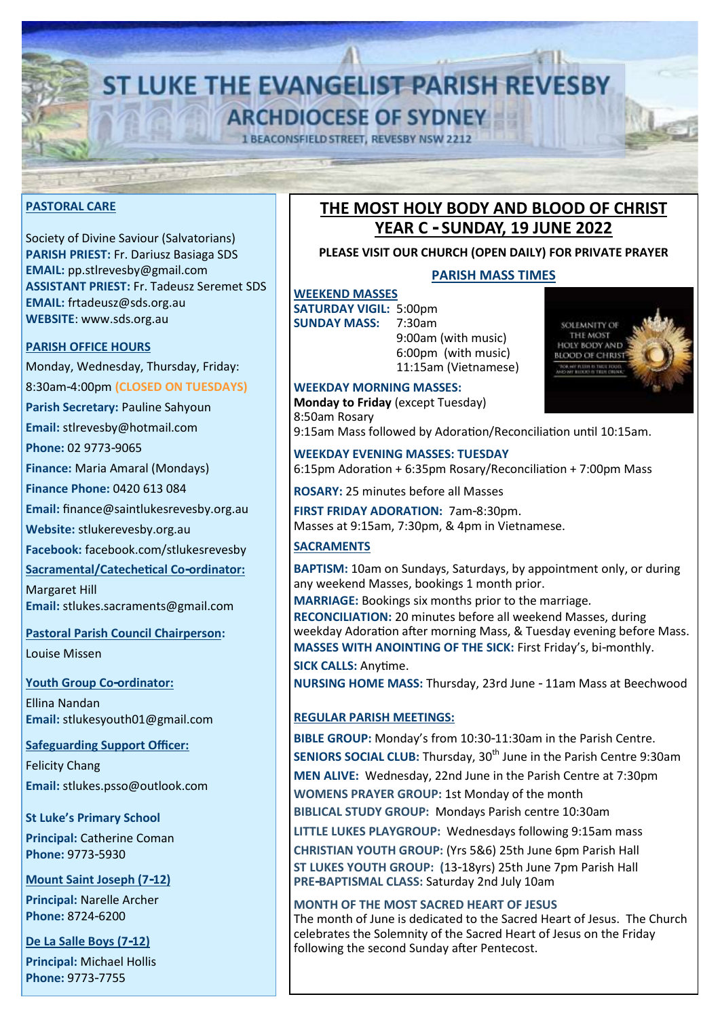# **ST LUKE THE EVANGELIST PARISH REVESBY ARCHDIOCESE OF SYDNEY**

**1 BEACONSFIELD STREET, REVESBY NSW 2212** 

#### **PASTORAL CARE**

Society of Divine Saviour (Salvatorians) **PARISH PRIEST:** Fr. Dariusz Basiaga SDS **EMAIL:** pp.stlrevesby@gmail.com **ASSISTANT PRIEST:** Fr. Tadeusz Seremet SDS **EMAIL:** frtadeusz@sds.org.au **WEBSITE**: www.sds.org.au

#### **PARISH OFFICE HOURS**

Monday, Wednesday, Thursday, Friday: 8:30am-4:00pm **(CLOSED ON TUESDAYS)**

**Parish Secretary:** Pauline Sahyoun

**Email:** stlrevesby@hotmail.com

**Phone:** 02 9773-9065

**Finance:** Maria Amaral (Mondays)

**Finance Phone:** 0420 613 084

**Email:** finance@saintlukesrevesby.org.au

**Website:** [stlukerevesby.org.au](https://www.stlukerevesby.org.au/)

**Facebook:** [facebook.com/stlukesrevesby](http://www.facebook.com/stlukesrevesby)

**Sacramental/Catechetical Co-ordinator:** 

Margaret Hill **Email:** stlukes.sacraments@gmail.com

**Pastoral Parish Council Chairperson:**

Louise Missen

**Youth Group Co-ordinator:** 

Ellina Nandan **Email:** [stlukesyouth01@gmail.com](mailto:stlukesyouth01@gmail.com)

**Safeguarding Support Officer:**  Felicity Chang

**Email:** stlukes.psso@outlook.com

**St Luke's Primary School**

**Principal:** Catherine Coman **Phone:** 9773-5930

**Mount Saint Joseph (7-12)**

**Principal:** Narelle Archer **Phone:** 8724-6200

**De La Salle Boys (7-12) Principal:** Michael Hollis **Phone:** 9773-7755

## **THE MOST HOLY BODY AND BLOOD OF CHRIST YEAR C - SUNDAY, 19 JUNE 2022**

#### **PLEASE VISIT OUR CHURCH (OPEN DAILY) FOR PRIVATE PRAYER**

#### **PARISH MASS TIMES**

**WEEKEND MASSES SATURDAY VIGIL: 5:00pm<br>SUNDAY MASS: 7:30am SUNDAY MASS:** 

9:00am (with music) 6:00pm (with music) 11:15am (Vietnamese)



**WEEKDAY MORNING MASSES: Monday to Friday** (except Tuesday) 8:50am Rosary

9:15am Mass followed by Adoration/Reconciliation until 10:15am.

**WEEKDAY EVENING MASSES: TUESDAY** 6:15pm Adoration + 6:35pm Rosary/Reconciliation + 7:00pm Mass

**ROSARY:** 25 minutes before all Masses

**FIRST FRIDAY ADORATION:** 7am-8:30pm. Masses at 9:15am, 7:30pm, & 4pm in Vietnamese.

### **SACRAMENTS**

**BAPTISM:** 10am on Sundays, Saturdays, by appointment only, or during any weekend Masses, bookings 1 month prior.

**MARRIAGE:** Bookings six months prior to the marriage. **RECONCILIATION:** 20 minutes before all weekend Masses, during weekday Adoration after morning Mass, & Tuesday evening before Mass. **MASSES WITH ANOINTING OF THE SICK:** First Friday's, bi-monthly.

**SICK CALLS:** Anytime.

**NURSING HOME MASS:** Thursday, 23rd June - 11am Mass at Beechwood

#### **REGULAR PARISH MEETINGS:**

**BIBLE GROUP:** Monday's from 10:30-11:30am in the Parish Centre. **SENIORS SOCIAL CLUB:** Thursday, 30<sup>th</sup> June in the Parish Centre 9:30am **MEN ALIVE:** Wednesday, 22nd June in the Parish Centre at 7:30pm **WOMENS PRAYER GROUP:** 1st Monday of the month **BIBLICAL STUDY GROUP:** Mondays Parish centre 10:30am

**LITTLE LUKES PLAYGROUP:** Wednesdays following 9:15am mass **CHRISTIAN YOUTH GROUP:** (Yrs 5&6) 25th June 6pm Parish Hall **ST LUKES YOUTH GROUP: (**13-18yrs) 25th June 7pm Parish Hall **PRE-BAPTISMAL CLASS:** Saturday 2nd July 10am

**MONTH OF THE MOST SACRED HEART OF JESUS** The month of June is dedicated to the Sacred Heart of Jesus. The Church celebrates the Solemnity of the Sacred Heart of Jesus on the Friday following the second Sunday after Pentecost.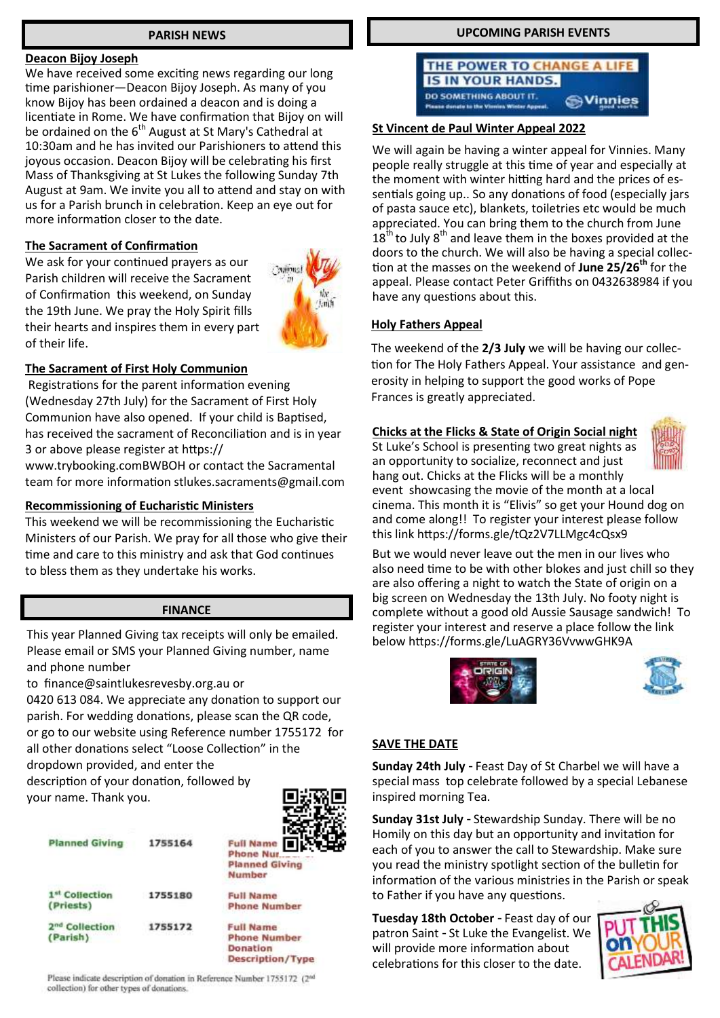#### **PARISH NEWS**

#### **Deacon Bijoy Joseph**

We have received some exciting news regarding our long time parishioner—Deacon Bijoy Joseph. As many of you know Bijoy has been ordained a deacon and is doing a licentiate in Rome. We have confirmation that Bijoy on will be ordained on the 6<sup>th</sup> August at St Mary's Cathedral at 10:30am and he has invited our Parishioners to attend this joyous occasion. Deacon Bijoy will be celebrating his first Mass of Thanksgiving at St Lukes the following Sunday 7th August at 9am. We invite you all to attend and stay on with us for a Parish brunch in celebration. Keep an eye out for more information closer to the date.

#### **The Sacrament of Confirmation**

We ask for your continued prayers as our Parish children will receive the Sacrament of Confirmation this weekend, on Sunday the 19th June. We pray the Holy Spirit fills their hearts and inspires them in every part of their life.



#### **The Sacrament of First Holy Communion**

Registrations for the parent information evening (Wednesday 27th July) for the Sacrament of First Holy Communion have also opened. If your child is Baptised, has received the sacrament of Reconciliation and is in year 3 or above please register at https://

www.trybooking.comBWBOH or contact the Sacramental team for more information stlukes.sacraments@gmail.com

#### **Recommissioning of Eucharistic Ministers**

This weekend we will be recommissioning the Eucharistic Ministers of our Parish. We pray for all those who give their time and care to this ministry and ask that God continues to bless them as they undertake his works.

#### **FINANCE**

This year Planned Giving tax receipts will only be emailed. Please email or SMS your Planned Giving number, name and phone number

to finance@saintlukesrevesby.org.au or

0420 613 084. We appreciate any donation to support our parish. For wedding donations, please scan the QR code, or go to our website using Reference number 1755172 for all other donations select "Loose Collection" in the dropdown provided, and enter the

description of your donation, followed by your name. Thank you.

| <b>Planned Giving</b>                  | <b>FINENSING</b><br>1755164 | <b>Full Na</b><br>Phone<br>Planne<br>Numbe |
|----------------------------------------|-----------------------------|--------------------------------------------|
| 1st Collection<br>(Priests)            | 1755180                     | <b>Full Na</b><br>Phone                    |
| 2 <sup>nd</sup> Collection<br>(Parish) | 1755172                     | <b>Full Na</b><br>Phone<br>Donati          |



me **Number** 

sme **Number** onation **Description/Type** 

Please indicate description of donation in Reference Number 1755172 (2<sup>nd</sup> collection) for other types of donations

#### **UPCOMING PARISH EVENTS**

THE POWER TO CHANGE A LIFE **IS IN YOUR HANDS.** DO SOMETHING ABOUT IT. **Sylinnies Massa denate to the Vir** 

#### **St Vincent de Paul Winter Appeal 2022**

We will again be having a winter appeal for Vinnies. Many people really struggle at this time of year and especially at the moment with winter hitting hard and the prices of essentials going up.. So any donations of food (especially jars of pasta sauce etc), blankets, toiletries etc would be much appreciated. You can bring them to the church from June  $18<sup>th</sup>$  to July  $8<sup>th</sup>$  and leave them in the boxes provided at the doors to the church. We will also be having a special collection at the masses on the weekend of **June 25/26th** for the appeal. Please contact Peter Griffiths on 0432638984 if you have any questions about this.

#### **Holy Fathers Appeal**

The weekend of the **2/3 July** we will be having our collection for The Holy Fathers Appeal. Your assistance and generosity in helping to support the good works of Pope Frances is greatly appreciated.

#### **Chicks at the Flicks & State of Origin Social night**

St Luke's School is presenting two great nights as an opportunity to socialize, reconnect and just hang out. Chicks at the Flicks will be a monthly event showcasing the movie of the month at a local cinema. This month it is "Elivis" so get your Hound dog on and come along!! To register your interest please follow this link https://forms.gle/tQz2V7LLMgc4cQsx9

But we would never leave out the men in our lives who also need time to be with other blokes and just chill so they are also offering a night to watch the State of origin on a big screen on Wednesday the 13th July. No footy night is complete without a good old Aussie Sausage sandwich! To register your interest and reserve a place follow the link below https://forms.gle/LuAGRY36VvwwGHK9A





#### **SAVE THE DATE**

**Sunday 24th July** - Feast Day of St Charbel we will have a special mass top celebrate followed by a special Lebanese inspired morning Tea.

**Sunday 31st July** - Stewardship Sunday. There will be no Homily on this day but an opportunity and invitation for each of you to answer the call to Stewardship. Make sure you read the ministry spotlight section of the bulletin for information of the various ministries in the Parish or speak to Father if you have any questions.

**Tuesday 18th October** - Feast day of our patron Saint - St Luke the Evangelist. We will provide more information about celebrations for this closer to the date.

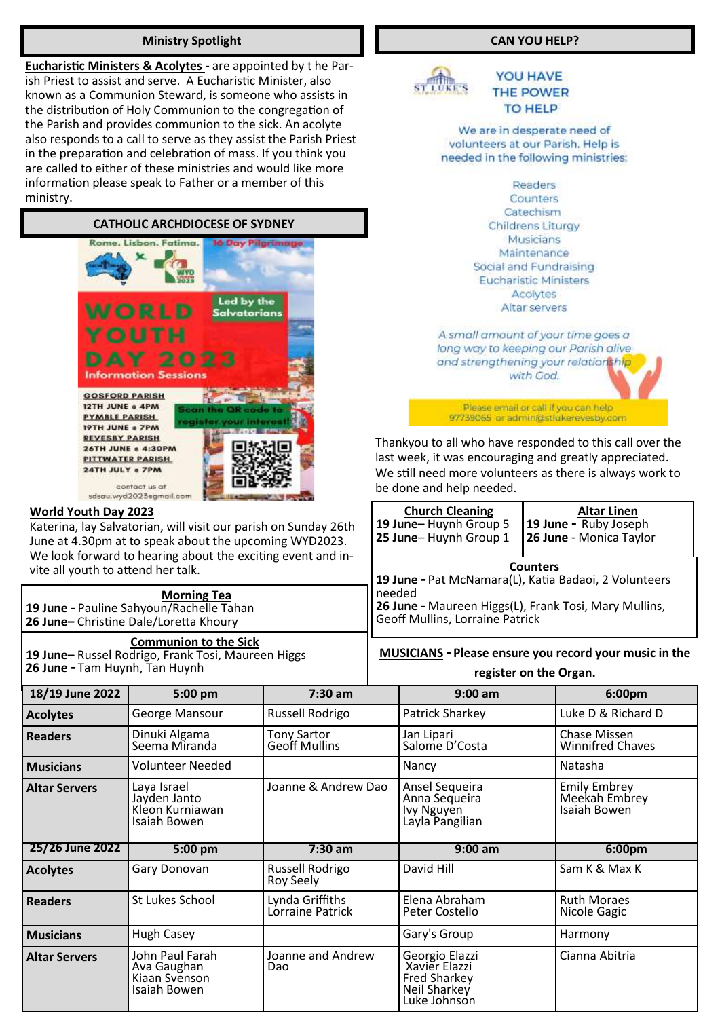#### **Ministry Spotlight**

**Eucharistic Ministers & Acolytes** - are appointed by t he Parish Priest to assist and serve. A Eucharistic Minister, also known as a Communion Steward, is someone who assists in the distribution of Holy Communion to the congregation of the Parish and provides communion to the sick. An acolyte also responds to a call to serve as they assist the Parish Priest in the preparation and celebration of mass. If you think you are called to either of these ministries and would like more information please speak to Father or a member of this ministry.

#### **CATHOLIC ARCHDIOCESE OF SYDNEY**



#### **World Youth Day 2023**

Katerina, lay Salvatorian, will visit our parish on Sunday 26th June at 4.30pm at to speak about the upcoming WYD2023. We look forward to hearing about the exciting event and invite all youth to attend her talk.

|                                          | <b>Morning Tea</b> |
|------------------------------------------|--------------------|
| 19 June - Pauline Sahyoun/Rachelle Tahan |                    |
| 26 June-Christine Dale/Loretta Khoury    |                    |

**Communion to the Sick 19 June–** Russel Rodrigo, Frank Tosi, Maureen Higgs **26 June -** Tam Huynh, Tan Huynh

#### **CAN YOU HELP?**



**YOU HAVE THE POWER TO HELP** 

#### We are in desperate need of volunteers at our Parish. Help is needed in the following ministries:

Readers Counters Catechism **Childrens Liturgy** Musicians Maintenance Social and Fundraising **Eucharistic Ministers** Acolytes Altar servers

A small amount of your time goes a long way to keeping our Parish alive and strengthening your relationship with God.

Please email or call if you can help 97739065 or administrukerevesby.com

Thankyou to all who have responded to this call over the last week, it was encouraging and greatly appreciated. We still need more volunteers as there is always work to be done and help needed.

| <b>Church Cleaning</b> | <b>Altar Linen</b>      |
|------------------------|-------------------------|
| 19 June-Huynh Group 5  | 19 June - Ruby Joseph   |
| 25 June-Huynh Group 1  | 26 June - Monica Taylor |
|                        |                         |

**Counters 19 June -** Pat McNamara(L), Katia Badaoi, 2 Volunteers needed

**26 June** - Maureen Higgs(L), Frank Tosi, Mary Mullins, Geoff Mullins, Lorraine Patrick

**MUSICIANS - Please ensure you record your music in the** 

| register on the Organ. |  |  |
|------------------------|--|--|
|------------------------|--|--|

| 18/19 June 2022      | 5:00 pm                                                        | $7:30$ am                           | $9:00$ am                                                        | 6:00pm                                               |
|----------------------|----------------------------------------------------------------|-------------------------------------|------------------------------------------------------------------|------------------------------------------------------|
| <b>Acolytes</b>      | George Mansour                                                 | Russell Rodrigo                     | Patrick Sharkey                                                  | Luke D & Richard D                                   |
| <b>Readers</b>       | Dinuki Algama<br>Seema Miranda                                 | <b>Tony Sartor</b><br>Geoff Mullins | Jan Lipari<br>Salome D'Costa                                     | Chase Missen<br><b>Winnifred Chaves</b>              |
| <b>Musicians</b>     | <b>Volunteer Needed</b>                                        |                                     | Nancy                                                            | Natasha                                              |
| <b>Altar Servers</b> | Laya Israel<br>Jayden Janto<br>Kleon Kurniawan<br>Isaiah Bowen | Joanne & Andrew Dao                 | Ansel Sequeira<br>Anna Segueira<br>Ivy Nguyen<br>Layla Pangilian | <b>Emily Embrey</b><br>Meekah Embrey<br>Isaiah Bowen |
| 25/26 June 2022      | 5:00 pm                                                        | $7:30$ am                           | $9:00$ am                                                        | 6:00pm                                               |
| <b>Acolytes</b>      | Gary Donovan                                                   | Russell Rodrigo<br>Roy Seely        | David Hill                                                       | Sam K & Max K                                        |
| <b>Readers</b>       |                                                                |                                     |                                                                  |                                                      |
|                      | St Lukes School                                                | Lynda Griffiths<br>Lorraine Patrick | Elena Abraham<br>Peter Costello                                  | <b>Ruth Moraes</b><br>Nicole Gagic                   |
| <b>Musicians</b>     | <b>Hugh Casey</b>                                              |                                     | Gary's Group                                                     | Harmony                                              |